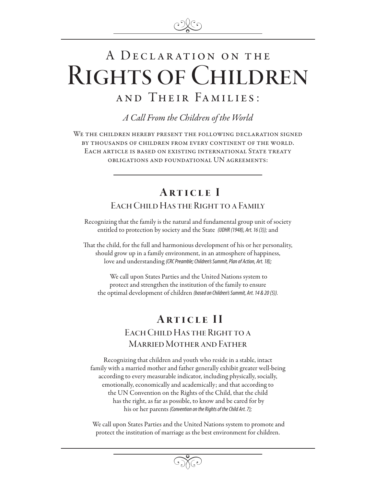

# A DECLARATION ON THE Rights of Children a nd Their Fa milies :

*A Call From the Children of the World*

We the children hereby present the following declaration signed by thousands of children from every continent of the world. Each article is based on existing international State treaty obligations and foundational UN agreements:

## Article I EACH CHILD HAS THE RIGHT TO A FAMILY

Recognizing that the family is the natural and fundamental group unit of society entitled to protection by society and the State *(UDHR (1948), Art. 16 (3));* and

That the child, for the full and harmonious development of his or her personality, should grow up in a family environment, in an atmosphere of happiness, love and understanding *(CRC Preamble; Children's Summit, Plan of Action, Art. 18);*

 We call upon States Parties and the United Nations system to protect and strengthen the institution of the family to ensure the optimal development of children *(based on Children's Summit, Art. 14 & 20 (5)).*

### Article II EACH CHILD HAS THE RIGHT TO A Married Mother and Father

Recognizing that children and youth who reside in a stable, intact family with a married mother and father generally exhibit greater well-being according to every measurable indicator, including physically, socially, emotionally, economically and academically; and that according to the UN Convention on the Rights of the Child, that the child has the right, as far as possible, to know and be cared for by his or her parents *(Convention on the Rights of the Child Art. 7);*

 We call upon States Parties and the United Nations system to promote and protect the institution of marriage as the best environment for children.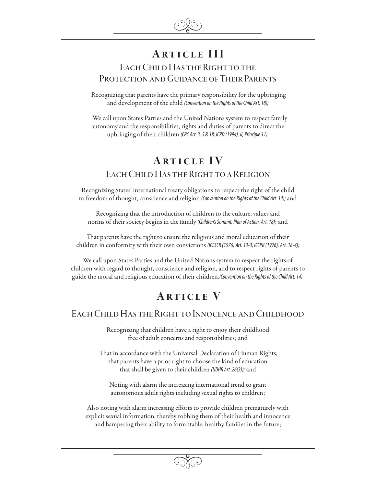# Article III

#### EACH CHILD HAS THE RIGHT TO THE Protection and Guidance of Their Parents

 Recognizing that parents have the primary responsibility for the upbringing and development of the child *(Convention on the Rights of the Child Art. 18);* 

 We call upon States Parties and the United Nations system to respect family autonomy and the responsibilities, rights and duties of parents to direct the upbringing of their children *(CRC Art. 3, 5 & 18; ICPD (1994), II, Principle 11).*

## Article IV EACH CHILD HAS THE RIGHT TO A RELIGION

Recognizing States' international treaty obligations to respect the right of the child to freedom of thought, conscience and religion *(Convention on the Rights of the Child Art. 14);* and

Recognizing that the introduction of children to the culture, values and norms of their society begins in the family *(Children's Summit, Plan of Action, Art. 18)*; and

That parents have the right to ensure the religious and moral education of their children in conformity with their own convictions *(ICESCR (1976) Art. 13-3; ICCPR (1976), Art. 18-4);*

We call upon States Parties and the United Nations system to respect the rights of children with regard to thought, conscience and religion, and to respect rights of parents to guide the moral and religious education of their children.*(Convention on the Rights of the Child Art. 14).*

### **ARTICLE V**

#### Each Child Has the Right to Innocence and Childhood

Recognizing that children have a right to enjoy their childhood free of adult concerns and responsibilities; and

 That in accordance with the Universal Declaration of Human Rights, that parents have a prior right to choose the kind of education that shall be given to their children *(UDHR Art. 26(3));* and

Noting with alarm the increasing international trend to grant autonomous adult rights including sexual rights to children;

Also noting with alarm increasing efforts to provide children prematurely with explicit sexual information, thereby robbing them of their health and innocence and hampering their ability to form stable, healthy families in the future;